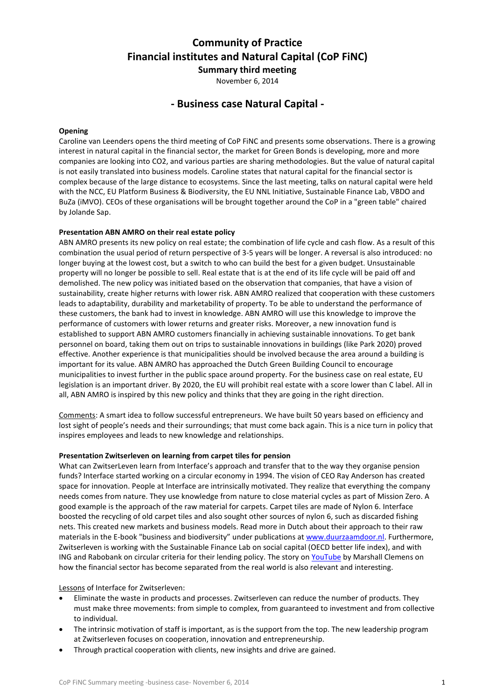# **Community of Practice Financial institutes and Natural Capital (CoP FiNC)**

**Summary third meeting** November 6, 2014

# **- Business case Natural Capital -**

# **Opening**

Caroline van Leenders opens the third meeting of CoP FiNC and presents some observations. There is a growing interest in natural capital in the financial sector, the market for Green Bonds is developing, more and more companies are looking into CO2, and various parties are sharing methodologies. But the value of natural capital is not easily translated into business models. Caroline states that natural capital for the financial sector is complex because of the large distance to ecosystems. Since the last meeting, talks on natural capital were held with the NCC, EU Platform Business & Biodiversity, the EU NNL Initiative, Sustainable Finance Lab, VBDO and BuZa (iMVO). CEOs of these organisations will be brought together around the CoP in a "green table" chaired by Jolande Sap.

#### **Presentation ABN AMRO on their real estate policy**

ABN AMRO presents its new policy on real estate; the combination of life cycle and cash flow. As a result of this combination the usual period of return perspective of 3-5 years will be longer. A reversal is also introduced: no longer buying at the lowest cost, but a switch to who can build the best for a given budget. Unsustainable property will no longer be possible to sell. Real estate that is at the end of its life cycle will be paid off and demolished. The new policy was initiated based on the observation that companies, that have a vision of sustainability, create higher returns with lower risk. ABN AMRO realized that cooperation with these customers leads to adaptability, durability and marketability of property. To be able to understand the performance of these customers, the bank had to invest in knowledge. ABN AMRO will use this knowledge to improve the performance of customers with lower returns and greater risks. Moreover, a new innovation fund is established to support ABN AMRO customers financially in achieving sustainable innovations. To get bank personnel on board, taking them out on trips to sustainable innovations in buildings (like Park 2020) proved effective. Another experience is that municipalities should be involved because the area around a building is important for its value. ABN AMRO has approached the Dutch Green Building Council to encourage municipalities to invest further in the public space around property. For the business case on real estate, EU legislation is an important driver. By 2020, the EU will prohibit real estate with a score lower than C label. All in all, ABN AMRO is inspired by this new policy and thinks that they are going in the right direction.

Comments: A smart idea to follow successful entrepreneurs. We have built 50 years based on efficiency and lost sight of people's needs and their surroundings; that must come back again. This is a nice turn in policy that inspires employees and leads to new knowledge and relationships.

#### **Presentation Zwitserleven on learning from carpet tiles for pension**

What can ZwitserLeven learn from Interface's approach and transfer that to the way they organise pension funds? Interface started working on a circular economy in 1994. The vision of CEO Ray Anderson has created space for innovation. People at Interface are intrinsically motivated. They realize that everything the company needs comes from nature. They use knowledge from nature to close material cycles as part of Mission Zero. A good example is the approach of the raw material for carpets. Carpet tiles are made of Nylon 6. Interface boosted the recycling of old carpet tiles and also sought other sources of nylon 6, such as discarded fishing nets. This created new markets and business models. Read more in Dutch about their approach to their raw materials in the E-book "business and biodiversity" under publications a[t www.duurzaamdoor.nl.](http://www.duurzaamdoor.nl/) Furthermore, Zwitserleven is working with the Sustainable Finance Lab on social capital (OECD better life index), and with ING and Rabobank on circular criteria for their lending policy. The story o[n YouTube](https://www.youtube.com/watch?v=yBKDAUZqgr0) by Marshall Clemens on how the financial sector has become separated from the real world is also relevant and interesting.

#### Lessons of Interface for Zwitserleven:

- Eliminate the waste in products and processes. Zwitserleven can reduce the number of products. They must make three movements: from simple to complex, from guaranteed to investment and from collective to individual.
- The intrinsic motivation of staff is important, as is the support from the top. The new leadership program at Zwitserleven focuses on cooperation, innovation and entrepreneurship.
- Through practical cooperation with clients, new insights and drive are gained.